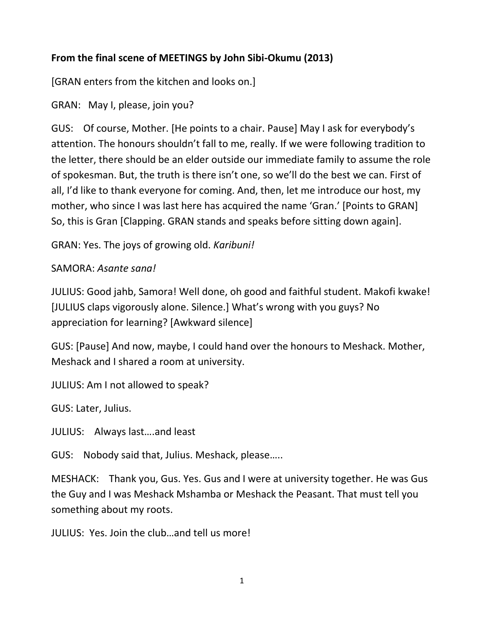## **From the final scene of MEETINGS by John Sibi-Okumu (2013)**

[GRAN enters from the kitchen and looks on.]

GRAN: May I, please, join you?

GUS: Of course, Mother. [He points to a chair. Pause] May I ask for everybody's attention. The honours shouldn't fall to me, really. If we were following tradition to the letter, there should be an elder outside our immediate family to assume the role of spokesman. But, the truth is there isn't one, so we'll do the best we can. First of all, I'd like to thank everyone for coming. And, then, let me introduce our host, my mother, who since I was last here has acquired the name 'Gran.' [Points to GRAN] So, this is Gran [Clapping. GRAN stands and speaks before sitting down again].

GRAN: Yes. The joys of growing old. *Karibuni!* 

## SAMORA: *Asante sana!*

JULIUS: Good jahb, Samora! Well done, oh good and faithful student. Makofi kwake! [JULIUS claps vigorously alone. Silence.] What's wrong with you guys? No appreciation for learning? [Awkward silence]

GUS: [Pause] And now, maybe, I could hand over the honours to Meshack. Mother, Meshack and I shared a room at university.

JULIUS: Am I not allowed to speak?

GUS: Later, Julius.

JULIUS: Always last….and least

GUS: Nobody said that, Julius. Meshack, please…..

MESHACK: Thank you, Gus. Yes. Gus and I were at university together. He was Gus the Guy and I was Meshack Mshamba or Meshack the Peasant. That must tell you something about my roots.

JULIUS: Yes. Join the club…and tell us more!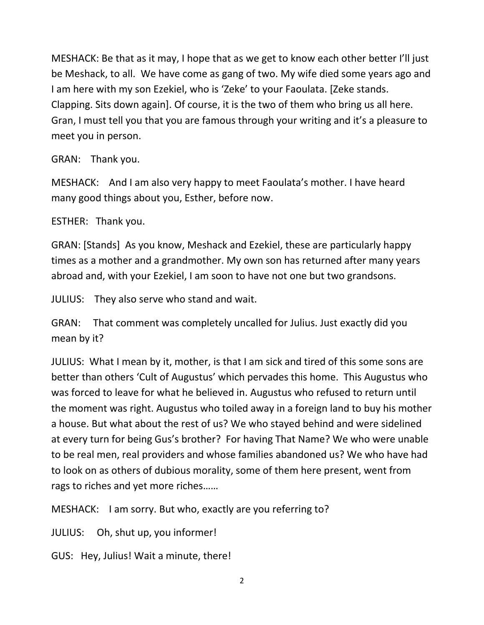MESHACK: Be that as it may, I hope that as we get to know each other better I'll just be Meshack, to all. We have come as gang of two. My wife died some years ago and I am here with my son Ezekiel, who is 'Zeke' to your Faoulata. [Zeke stands. Clapping. Sits down again]. Of course, it is the two of them who bring us all here. Gran, I must tell you that you are famous through your writing and it's a pleasure to meet you in person.

GRAN: Thank you.

MESHACK: And I am also very happy to meet Faoulata's mother. I have heard many good things about you, Esther, before now.

ESTHER: Thank you.

GRAN: [Stands] As you know, Meshack and Ezekiel, these are particularly happy times as a mother and a grandmother. My own son has returned after many years abroad and, with your Ezekiel, I am soon to have not one but two grandsons.

JULIUS: They also serve who stand and wait.

GRAN: That comment was completely uncalled for Julius. Just exactly did you mean by it?

JULIUS: What I mean by it, mother, is that I am sick and tired of this some sons are better than others 'Cult of Augustus' which pervades this home. This Augustus who was forced to leave for what he believed in. Augustus who refused to return until the moment was right. Augustus who toiled away in a foreign land to buy his mother a house. But what about the rest of us? We who stayed behind and were sidelined at every turn for being Gus's brother? For having That Name? We who were unable to be real men, real providers and whose families abandoned us? We who have had to look on as others of dubious morality, some of them here present, went from rags to riches and yet more riches……

MESHACK: I am sorry. But who, exactly are you referring to?

JULIUS: Oh, shut up, you informer!

GUS: Hey, Julius! Wait a minute, there!